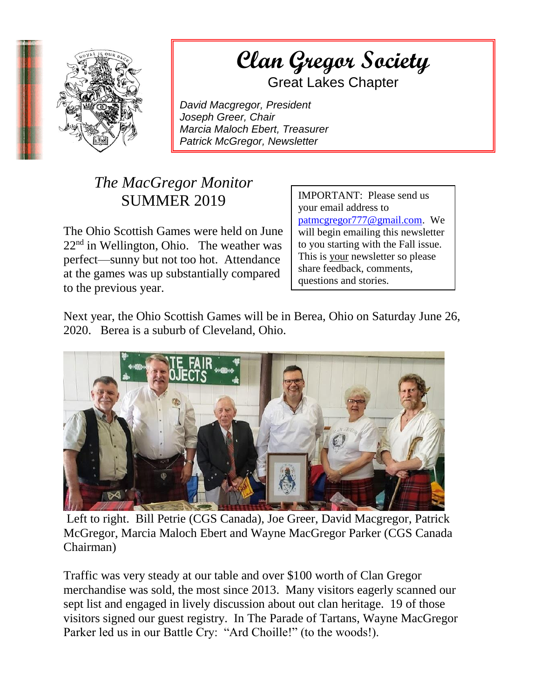

## $\mathcal{O}_{\mathcal{H}}$  (Han Quote Saciety) **Extract angle in the Gregor Society**

Great Lakes Chapter

*David Macgregor, President Joseph Greer, Chair Marcia Maloch Ebert, Treasurer Patrick McGregor, Newsletter*

## *The MacGregor Monitor* SUMMER 2019

The Ohio Scottish Games were held on June  $22<sup>nd</sup>$  in Wellington, Ohio. The weather was perfect—sunny but not too hot. Attendance at the games was up substantially compared to the previous year.

IMPORTANT: Please send us your email address to [patmcgregor777@gmail.com.](mailto:patmcgregor777@gmail.com) We will begin emailing this newsletter to you starting with the Fall issue. This is your newsletter so please share feedback, comments, questions and stories.

Next year, the Ohio Scottish Games will be in Berea, Ohio on Saturday June 26, 2020. Berea is a suburb of Cleveland, Ohio.



Left to right. Bill Petrie (CGS Canada), Joe Greer, David Macgregor, Patrick McGregor, Marcia Maloch Ebert and Wayne MacGregor Parker (CGS Canada Chairman)

Traffic was very steady at our table and over \$100 worth of Clan Gregor merchandise was sold, the most since 2013. Many visitors eagerly scanned our sept list and engaged in lively discussion about out clan heritage. 19 of those visitors signed our guest registry. In The Parade of Tartans, Wayne MacGregor Parker led us in our Battle Cry: "Ard Choille!" (to the woods!).